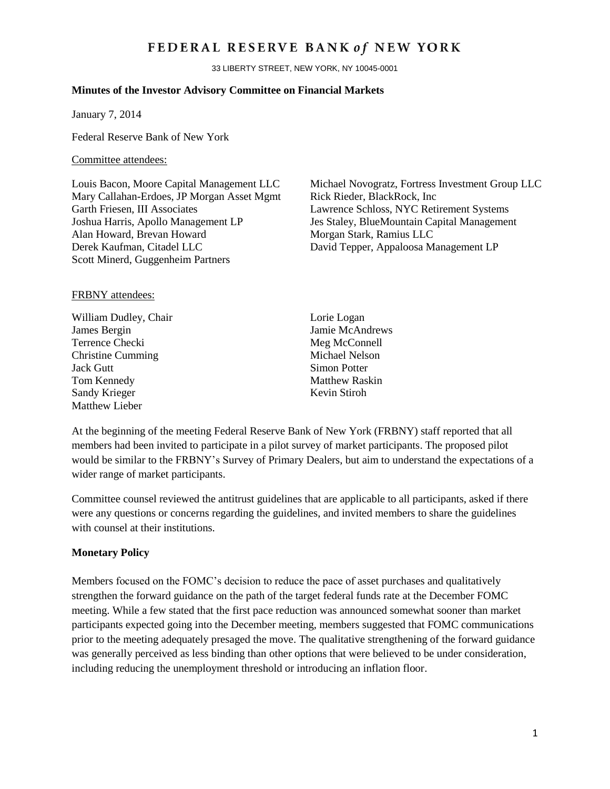## FEDERAL RESERVE BANK of NEW YORK

33 LIBERTY STREET, NEW YORK, NY 10045-0001

#### **Minutes of the Investor Advisory Committee on Financial Markets**

January 7, 2014

Federal Reserve Bank of New York

#### Committee attendees:

Mary Callahan-Erdoes, JP Morgan Asset Mgmt Rick Rieder, BlackRock, Inc. Garth Friesen, III Associates Lawrence Schloss, NYC Retirement Systems Joshua Harris, Apollo Management LP Jes Staley, BlueMountain Capital Management Alan Howard, Brevan Howard Morgan Stark, Ramius LLC Derek Kaufman, Citadel LLC David Tepper, Appaloosa Management LP Scott Minerd, Guggenheim Partners

Louis Bacon, Moore Capital Management LLC Michael Novogratz, Fortress Investment Group LLC

#### FRBNY attendees:

- William Dudley, Chair Lorie Logan James Bergin Jamie McAndrews Terrence Checki Meg McConnell Christine Cumming Michael Nelson **Jack Gutt** Simon Potter Tom Kennedy Matthew Raskin Sandy Krieger Kevin Stiroh Matthew Lieber
	-

At the beginning of the meeting Federal Reserve Bank of New York (FRBNY) staff reported that all members had been invited to participate in a pilot survey of market participants. The proposed pilot would be similar to the FRBNY's Survey of Primary Dealers, but aim to understand the expectations of a wider range of market participants.

Committee counsel reviewed the antitrust guidelines that are applicable to all participants, asked if there were any questions or concerns regarding the guidelines, and invited members to share the guidelines with counsel at their institutions.

#### **Monetary Policy**

Members focused on the FOMC's decision to reduce the pace of asset purchases and qualitatively strengthen the forward guidance on the path of the target federal funds rate at the December FOMC meeting. While a few stated that the first pace reduction was announced somewhat sooner than market participants expected going into the December meeting, members suggested that FOMC communications prior to the meeting adequately presaged the move. The qualitative strengthening of the forward guidance was generally perceived as less binding than other options that were believed to be under consideration, including reducing the unemployment threshold or introducing an inflation floor.